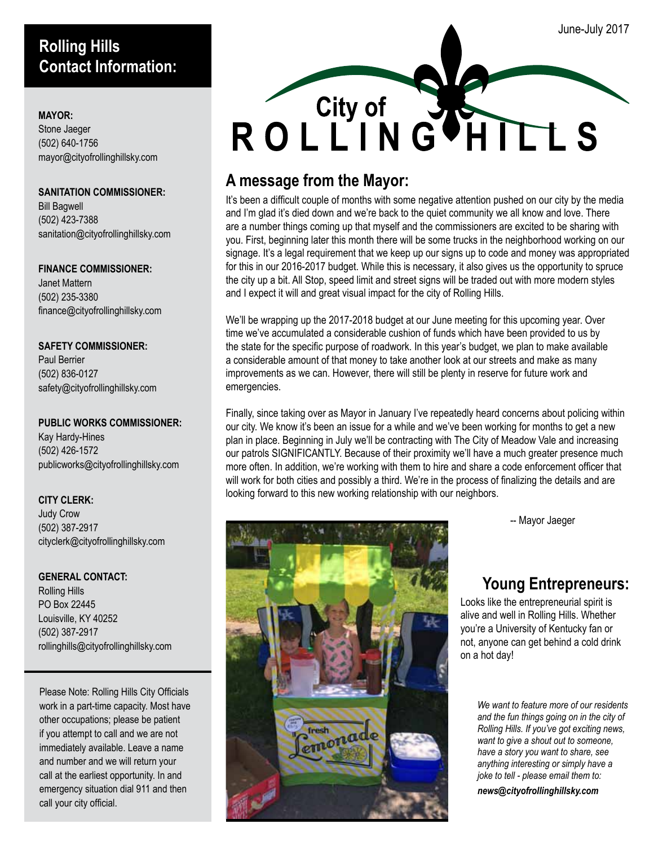# **Rolling Hills Contact Information:**

**Mayor:**

Stone Jaeger (502) 640-1756 mayor@cityofrollinghillsky.com

#### **Sanitation COMMISSIONER:**

Bill Bagwell (502) 423-7388 sanitation@cityofrollinghillsky.com

#### **Finance COMMISSIONER:**

Janet Mattern (502) 235-3380 finance@cityofrollinghillsky.com

#### **Safety COMMISSIONER:**

Paul Berrier (502) 836-0127 safety@cityofrollinghillsky.com

#### **Public Works COMMISSIONER:** Kay Hardy-Hines (502) 426-1572 publicworks@cityofrollinghillsky.com

#### **City Clerk:**

Judy Crow (502) 387-2917 cityclerk@cityofrollinghillsky.com

**GENERAL CONTACT:** Rolling Hills PO Box 22445 Louisville, KY 40252 (502) 387-2917 rollinghills@cityofrollinghillsky.com

Please Note: Rolling Hills City Officials work in a part-time capacity. Most have other occupations; please be patient if you attempt to call and we are not immediately available. Leave a name and number and we will return your call at the earliest opportunity. In and emergency situation dial 911 and then call your city official.



### **A message from the Mayor:**

It's been a difficult couple of months with some negative attention pushed on our city by the media and I'm glad it's died down and we're back to the quiet community we all know and love. There are a number things coming up that myself and the commissioners are excited to be sharing with you. First, beginning later this month there will be some trucks in the neighborhood working on our signage. It's a legal requirement that we keep up our signs up to code and money was appropriated for this in our 2016-2017 budget. While this is necessary, it also gives us the opportunity to spruce the city up a bit. All Stop, speed limit and street signs will be traded out with more modern styles and I expect it will and great visual impact for the city of Rolling Hills.

We'll be wrapping up the 2017-2018 budget at our June meeting for this upcoming year. Over time we've accumulated a considerable cushion of funds which have been provided to us by the state for the specific purpose of roadwork. In this year's budget, we plan to make available a considerable amount of that money to take another look at our streets and make as many improvements as we can. However, there will still be plenty in reserve for future work and emergencies.

Finally, since taking over as Mayor in January I've repeatedly heard concerns about policing within our city. We know it's been an issue for a while and we've been working for months to get a new plan in place. Beginning in July we'll be contracting with The City of Meadow Vale and increasing our patrols SIGNIFICANTLY. Because of their proximity we'll have a much greater presence much more often. In addition, we're working with them to hire and share a code enforcement officer that will work for both cities and possibly a third. We're in the process of finalizing the details and are looking forward to this new working relationship with our neighbors.



-- Mayor Jaeger

## **Young Entrepreneurs:**

Looks like the entrepreneurial spirit is alive and well in Rolling Hills. Whether you're a University of Kentucky fan or not, anyone can get behind a cold drink on a hot day!

> *We want to feature more of our residents and the fun things going on in the city of Rolling Hills. If you've got exciting news, want to give a shout out to someone, have a story you want to share, see anything interesting or simply have a joke to tell - please email them to:*

*news@cityofrollinghillsky.com*